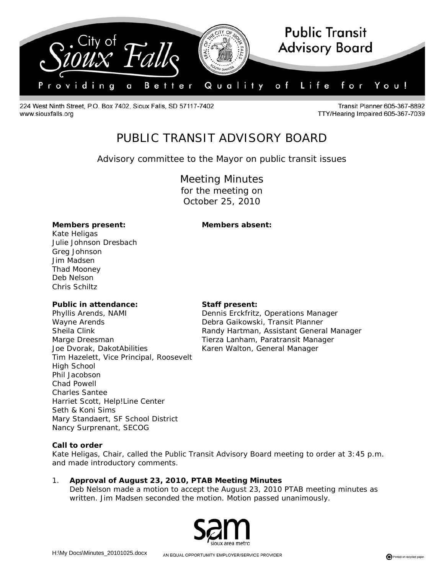

224 West Ninth Street, P.O. Box 7402, Sioux Falls, SD 57117-7402 www.siouxfalls.org

**Transit Planner 605-367-8892** TTY/Hearing Impaired 605-367-7039

# PUBLIC TRANSIT ADVISORY BOARD

# *Advisory committee to the Mayor on public transit issues*

Meeting Minutes for the meeting on October 25, 2010

#### **Members present: Members absent:**

Kate Heligas Julie Johnson Dresbach Greg Johnson Jim Madsen Thad Mooney Deb Nelson Chris Schiltz

#### **Public in attendance: Staff present:**

Phyllis Arends, NAMI Dennis Erckfritz, Operations Manager Wayne Arends **Debra Gaikowski, Transit Planner** Marge Dreesman Tierza Lanham, Paratransit Manager Joe Dvorak, DakotAbilities Karen Walton, General Manager Tim Hazelett, Vice Principal, Roosevelt High School Phil Jacobson Chad Powell Charles Santee Harriet Scott, Help!Line Center Seth & Koni Sims Mary Standaert, SF School District Nancy Surprenant, SECOG

Sheila Clink Randy Hartman, Assistant General Manager

#### **Call to order**

Kate Heligas, Chair, called the Public Transit Advisory Board meeting to order at 3:45 p.m. and made introductory comments.

1. **Approval of August 23, 2010, PTAB Meeting Minutes** Deb Nelson made a motion to accept the August 23, 2010 PTAB meeting minutes as written. Jim Madsen seconded the motion. Motion passed unanimously.